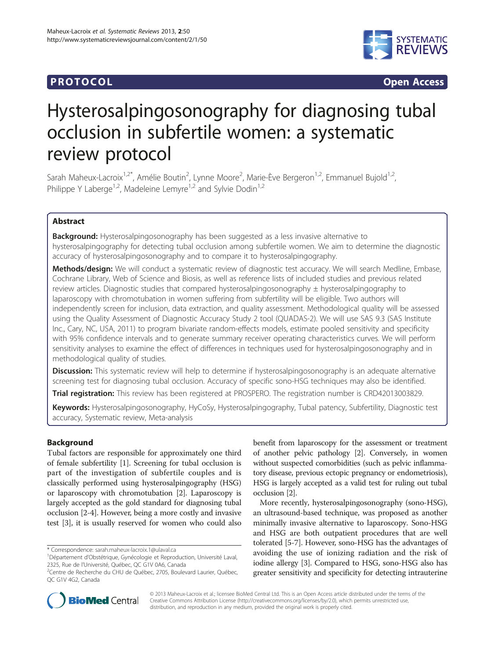# **PROTOCOL CONSUMING ACCESS CONSUMING ACCESS**



# Hysterosalpingosonography for diagnosing tubal occlusion in subfertile women: a systematic review protocol

Sarah Maheux-Lacroix<sup>1,2\*</sup>, Amélie Boutin<sup>2</sup>, Lynne Moore<sup>2</sup>, Marie-Ève Bergeron<sup>1,2</sup>, Emmanuel Bujold<sup>1,2</sup>, Philippe Y Laberge<sup>1,2</sup>, Madeleine Lemyre<sup>1,2</sup> and Sylvie Dodin<sup>1,2</sup>

# Abstract

**Background:** Hysterosalpingosonography has been suggested as a less invasive alternative to hysterosalpingography for detecting tubal occlusion among subfertile women. We aim to determine the diagnostic accuracy of hysterosalpingosonography and to compare it to hysterosalpingography.

Methods/design: We will conduct a systematic review of diagnostic test accuracy. We will search Medline, Embase, Cochrane Library, Web of Science and Biosis, as well as reference lists of included studies and previous related review articles. Diagnostic studies that compared hysterosalpingosonography  $\pm$  hysterosalpingography to laparoscopy with chromotubation in women suffering from subfertility will be eligible. Two authors will independently screen for inclusion, data extraction, and quality assessment. Methodological quality will be assessed using the Quality Assessment of Diagnostic Accuracy Study 2 tool (QUADAS-2). We will use SAS 9.3 (SAS Institute Inc., Cary, NC, USA, 2011) to program bivariate random-effects models, estimate pooled sensitivity and specificity with 95% confidence intervals and to generate summary receiver operating characteristics curves. We will perform sensitivity analyses to examine the effect of differences in techniques used for hysterosalpingosonography and in methodological quality of studies.

**Discussion:** This systematic review will help to determine if hysterosalpingosonography is an adequate alternative screening test for diagnosing tubal occlusion. Accuracy of specific sono-HSG techniques may also be identified.

Trial registration: This review has been registered at PROSPERO. The registration number is [CRD42013003829.](http://www.crd.york.ac.uk/PROSPERO/display_record.asp?ID=CRD42013003829)

Keywords: Hysterosalpingosonography, HyCoSy, Hysterosalpingography, Tubal patency, Subfertility, Diagnostic test accuracy, Systematic review, Meta-analysis

# Background

Tubal factors are responsible for approximately one third of female subfertility [\[1](#page-4-0)]. Screening for tubal occlusion is part of the investigation of subfertile couples and is classically performed using hysterosalpingography (HSG) or laparoscopy with chromotubation [\[2](#page-4-0)]. Laparoscopy is largely accepted as the gold standard for diagnosing tubal occlusion [\[2](#page-4-0)-[4](#page-4-0)]. However, being a more costly and invasive test [[3\]](#page-4-0), it is usually reserved for women who could also

\* Correspondence: [sarah.maheux-lacroix.1@ulaval.ca](mailto:sarah.maheux-lacroix.1@ulaval.ca) <sup>1</sup>

benefit from laparoscopy for the assessment or treatment of another pelvic pathology [[2](#page-4-0)]. Conversely, in women without suspected comorbidities (such as pelvic inflammatory disease, previous ectopic pregnancy or endometriosis), HSG is largely accepted as a valid test for ruling out tubal occlusion [[2](#page-4-0)].

More recently, hysterosalpingosonography (sono-HSG), an ultrasound-based technique, was proposed as another minimally invasive alternative to laparoscopy. Sono-HSG and HSG are both outpatient procedures that are well tolerated [\[5-7](#page-4-0)]. However, sono-HSG has the advantages of avoiding the use of ionizing radiation and the risk of iodine allergy [\[3](#page-4-0)]. Compared to HSG, sono-HSG also has greater sensitivity and specificity for detecting intrauterine



© 2013 Maheux-Lacroix et al.; licensee BioMed Central Ltd. This is an Open Access article distributed under the terms of the Creative Commons Attribution License (<http://creativecommons.org/licenses/by/2.0>), which permits unrestricted use, distribution, and reproduction in any medium, provided the original work is properly cited.

Département d'Obstétrique, Gynécologie et Reproduction, Université Laval, 2325, Rue de l'Université, Québec, QC G1V 0A6, Canada <sup>2</sup>

<sup>&</sup>lt;sup>2</sup>Centre de Recherche du CHU de Québec, 2705, Boulevard Laurier, Québec, QC G1V 4G2, Canada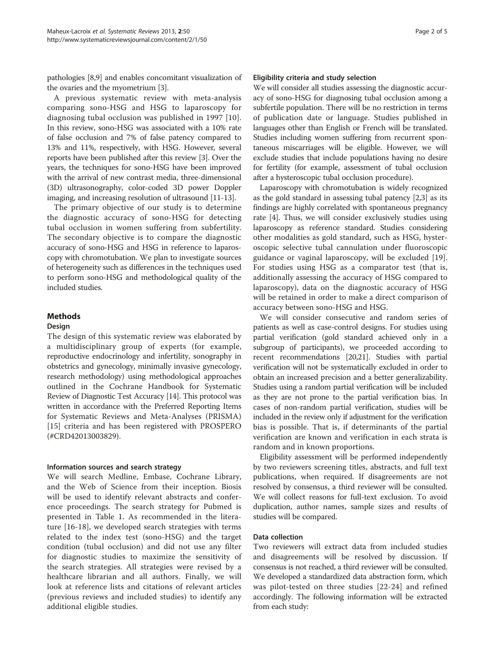pathologies [\[8,9\]](#page-4-0) and enables concomitant visualization of the ovaries and the myometrium [\[3\]](#page-4-0).

A previous systematic review with meta-analysis comparing sono-HSG and HSG to laparoscopy for diagnosing tubal occlusion was published in 1997 [[10](#page-4-0)]. In this review, sono-HSG was associated with a 10% rate of false occlusion and 7% of false patency compared to 13% and 11%, respectively, with HSG. However, several reports have been published after this review [\[3](#page-4-0)]. Over the years, the techniques for sono-HSG have been improved with the arrival of new contrast media, three-dimensional (3D) ultrasonography, color-coded 3D power Doppler imaging, and increasing resolution of ultrasound [\[11-13\]](#page-4-0).

The primary objective of our study is to determine the diagnostic accuracy of sono-HSG for detecting tubal occlusion in women suffering from subfertility. The secondary objective is to compare the diagnostic accuracy of sono-HSG and HSG in reference to laparoscopy with chromotubation. We plan to investigate sources of heterogeneity such as differences in the techniques used to perform sono-HSG and methodological quality of the included studies.

# Methods

#### Design

The design of this systematic review was elaborated by a multidisciplinary group of experts (for example, reproductive endocrinology and infertility, sonography in obstetrics and gynecology, minimally invasive gynecology, research methodology) using methodological approaches outlined in the Cochrane Handbook for Systematic Review of Diagnostic Test Accuracy [\[14\]](#page-4-0). This protocol was written in accordance with the Preferred Reporting Items for Systematic Reviews and Meta-Analyses (PRISMA) [[15\]](#page-4-0) criteria and has been registered with PROSPERO (#CRD42013003829).

#### Information sources and search strategy

We will search Medline, Embase, Cochrane Library, and the Web of Science from their inception. Biosis will be used to identify relevant abstracts and conference proceedings. The search strategy for Pubmed is presented in Table [1](#page-2-0). As recommended in the literature [\[16](#page-4-0)-[18](#page-4-0)], we developed search strategies with terms related to the index test (sono-HSG) and the target condition (tubal occlusion) and did not use any filter for diagnostic studies to maximize the sensitivity of the search strategies. All strategies were revised by a healthcare librarian and all authors. Finally, we will look at reference lists and citations of relevant articles (previous reviews and included studies) to identify any additional eligible studies.

#### Eligibility criteria and study selection

We will consider all studies assessing the diagnostic accuracy of sono-HSG for diagnosing tubal occlusion among a subfertile population. There will be no restriction in terms of publication date or language. Studies published in languages other than English or French will be translated. Studies including women suffering from recurrent spontaneous miscarriages will be eligible. However, we will exclude studies that include populations having no desire for fertility (for example, assessment of tubal occlusion after a hysteroscopic tubal occlusion procedure).

Laparoscopy with chromotubation is widely recognized as the gold standard in assessing tubal patency [\[2,3\]](#page-4-0) as its findings are highly correlated with spontaneous pregnancy rate [\[4](#page-4-0)]. Thus, we will consider exclusively studies using laparoscopy as reference standard. Studies considering other modalities as gold standard, such as HSG, hysteroscopic selective tubal cannulation under fluoroscopic guidance or vaginal laparoscopy, will be excluded [\[19](#page-4-0)]. For studies using HSG as a comparator test (that is, additionally assessing the accuracy of HSG compared to laparoscopy), data on the diagnostic accuracy of HSG will be retained in order to make a direct comparison of accuracy between sono-HSG and HSG.

We will consider consecutive and random series of patients as well as case-control designs. For studies using partial verification (gold standard achieved only in a subgroup of participants), we proceeded according to recent recommendations [\[20,21](#page-4-0)]. Studies with partial verification will not be systematically excluded in order to obtain an increased precision and a better generalizability. Studies using a random partial verification will be included as they are not prone to the partial verification bias. In cases of non-random partial verification, studies will be included in the review only if adjustment for the verification bias is possible. That is, if determinants of the partial verification are known and verification in each strata is random and in known proportions.

Eligibility assessment will be performed independently by two reviewers screening titles, abstracts, and full text publications, when required. If disagreements are not resolved by consensus, a third reviewer will be consulted. We will collect reasons for full-text exclusion. To avoid duplication, author names, sample sizes and results of studies will be compared.

### Data collection

Two reviewers will extract data from included studies and disagreements will be resolved by discussion. If consensus is not reached, a third reviewer will be consulted. We developed a standardized data abstraction form, which was pilot-tested on three studies [[22](#page-4-0)-[24](#page-4-0)] and refined accordingly. The following information will be extracted from each study: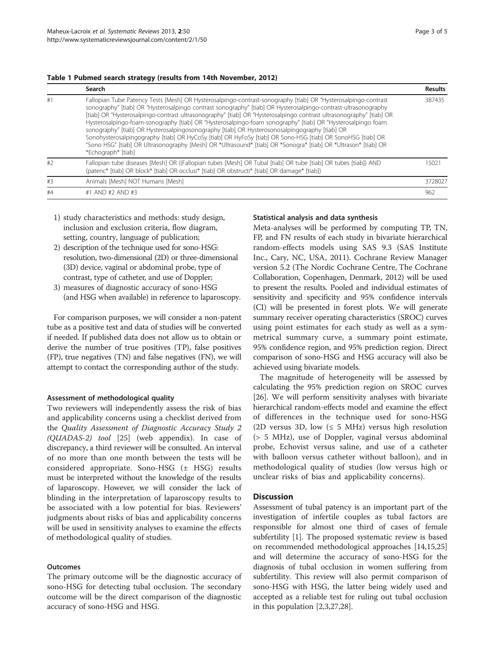<span id="page-2-0"></span>

|    | Search                                                                                                                                                                                                                                                                                                                                                                                                                                                                                                                                                                                                                                                                                                                                                                                                                        | <b>Results</b> |
|----|-------------------------------------------------------------------------------------------------------------------------------------------------------------------------------------------------------------------------------------------------------------------------------------------------------------------------------------------------------------------------------------------------------------------------------------------------------------------------------------------------------------------------------------------------------------------------------------------------------------------------------------------------------------------------------------------------------------------------------------------------------------------------------------------------------------------------------|----------------|
| #1 | Fallopian Tube Patency Tests [Mesh] OR Hysterosalpingo-contrast-sonography [tiab] OR "Hysterosalpingo-contrast<br>sonography" [tiab] OR "Hysterosalpingo contrast sonography" [tiab] OR Hysterosalpingo-contrast-ultrasonography<br>[tiab] OR "Hysterosalpingo-contrast ultrasonography" [tiab] OR "Hysterosalpingo contrast ultrasonography" [tiab] OR<br>Hysterosalpingo-foam-sonography [tiab] OR "Hysterosalpingo-foam sonography" [tiab] OR "Hysterosalpingo foam<br>sonography" [tiab] OR Hysterosalpingosonography [tiab] OR Hysterosonosalpingography [tiab] OR<br>Sonohysterosalpingography [tiab] OR HyCoSy [tiab] OR HyFoSy [tiab] OR Sono-HSG [tiab] OR SonoHSG [tiab] OR<br>"Sono HSG" [tiab] OR Ultrasonography [Mesh] OR *Ultrasound* [tiab] OR *Sonogra* [tiab] OR *Ultrason* [tiab] OR<br>*Echograph* [tiab] | 387435         |
| #2 | Fallopian tube diseases [Mesh] OR ((Fallopian tubes [Mesh] OR Tubal [tiab] OR tube [tiab] OR tubes [tiab]) AND<br>(patenc* [tiab] OR block* [tiab] OR occlusi* [tiab] OR obstructi* [tiab] OR damage* [tiab])                                                                                                                                                                                                                                                                                                                                                                                                                                                                                                                                                                                                                 | 15021          |
| #3 | Animals [Mesh] NOT Humans [Mesh]                                                                                                                                                                                                                                                                                                                                                                                                                                                                                                                                                                                                                                                                                                                                                                                              | 3728027        |
| #4 | #1 AND #2 AND #3                                                                                                                                                                                                                                                                                                                                                                                                                                                                                                                                                                                                                                                                                                                                                                                                              | 962            |

- 1) study characteristics and methods: study design, inclusion and exclusion criteria, flow diagram, setting, country, language of publication;
- 2) description of the technique used for sono-HSG: resolution, two-dimensional (2D) or three-dimensional (3D) device, vaginal or abdominal probe, type of contrast, type of catheter, and use of Doppler;
- 3) measures of diagnostic accuracy of sono-HSG (and HSG when available) in reference to laparoscopy.

For comparison purposes, we will consider a non-patent tube as a positive test and data of studies will be converted if needed. If published data does not allow us to obtain or derive the number of true positives (TP), false positives (FP), true negatives (TN) and false negatives (FN), we will attempt to contact the corresponding author of the study.

#### Assessment of methodological quality

Two reviewers will independently assess the risk of bias and applicability concerns using a checklist derived from the Quality Assessment of Diagnostic Accuracy Study 2 (QUADAS-2) tool [[25\]](#page-4-0) ([web appendix\)](#page-3-0). In case of discrepancy, a third reviewer will be consulted. An interval of no more than one month between the tests will be considered appropriate. Sono-HSG (± HSG) results must be interpreted without the knowledge of the results of laparoscopy. However, we will consider the lack of blinding in the interpretation of laparoscopy results to be associated with a low potential for bias. Reviewers' judgments about risks of bias and applicability concerns will be used in sensitivity analyses to examine the effects of methodological quality of studies.

#### **Outcomes**

The primary outcome will be the diagnostic accuracy of sono-HSG for detecting tubal occlusion. The secondary outcome will be the direct comparison of the diagnostic accuracy of sono-HSG and HSG.

#### Statistical analysis and data synthesis

Meta-analyses will be performed by computing TP, TN, FP, and FN results of each study in bivariate hierarchical random-effects models using SAS 9.3 (SAS Institute Inc., Cary, NC, USA, 2011). Cochrane Review Manager version 5.2 (The Nordic Cochrane Centre, The Cochrane Collaboration, Copenhagen, Denmark, 2012) will be used to present the results. Pooled and individual estimates of sensitivity and specificity and 95% confidence intervals (CI) will be presented in forest plots. We will generate summary receiver operating characteristics (SROC) curves using point estimates for each study as well as a symmetrical summary curve, a summary point estimate, 95% confidence region, and 95% prediction region. Direct comparison of sono-HSG and HSG accuracy will also be achieved using bivariate models.

The magnitude of heterogeneity will be assessed by calculating the 95% prediction region on SROC curves [[26\]](#page-4-0). We will perform sensitivity analyses with bivariate hierarchical random-effects model and examine the effect of differences in the technique used for sono-HSG (2D versus 3D, low  $( \leq 5$  MHz) versus high resolution (> 5 MHz), use of Doppler, vaginal versus abdominal probe, Echovist versus saline, and use of a catheter with balloon versus catheter without balloon), and in methodological quality of studies (low versus high or unclear risks of bias and applicability concerns).

#### **Discussion**

Assessment of tubal patency is an important part of the investigation of infertile couples as tubal factors are responsible for almost one third of cases of female subfertility [[1\]](#page-4-0). The proposed systematic review is based on recommended methodological approaches [[14](#page-4-0),[15](#page-4-0),[25](#page-4-0)] and will determine the accuracy of sono-HSG for the diagnosis of tubal occlusion in women suffering from subfertility. This review will also permit comparison of sono-HSG with HSG, the latter being widely used and accepted as a reliable test for ruling out tubal occlusion in this population [[2,3,27,28](#page-4-0)].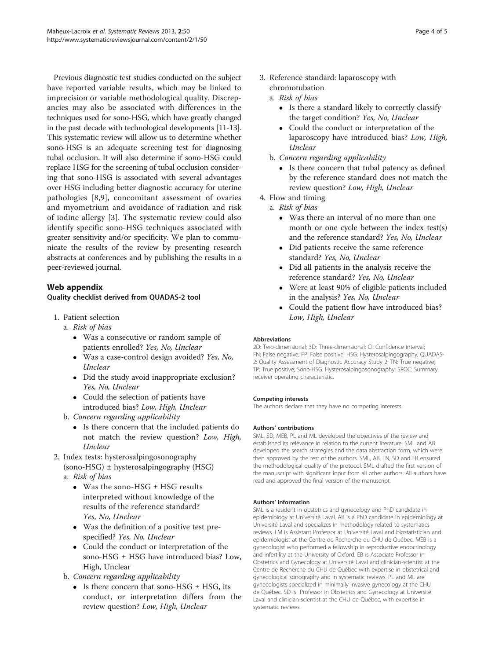<span id="page-3-0"></span>Previous diagnostic test studies conducted on the subject have reported variable results, which may be linked to imprecision or variable methodological quality. Discrepancies may also be associated with differences in the techniques used for sono-HSG, which have greatly changed in the past decade with technological developments [\[11-13](#page-4-0)]. This systematic review will allow us to determine whether sono-HSG is an adequate screening test for diagnosing tubal occlusion. It will also determine if sono-HSG could replace HSG for the screening of tubal occlusion considering that sono-HSG is associated with several advantages over HSG including better diagnostic accuracy for uterine pathologies [[8,9](#page-4-0)], concomitant assessment of ovaries and myometrium and avoidance of radiation and risk of iodine allergy [[3\]](#page-4-0). The systematic review could also identify specific sono-HSG techniques associated with greater sensitivity and/or specificity. We plan to communicate the results of the review by presenting research abstracts at conferences and by publishing the results in a peer-reviewed journal.

# Web appendix

# Quality checklist derived from QUADAS-2 tool

- 1. Patient selection
	- a. Risk of bias
		- Was a consecutive or random sample of patients enrolled? Yes, No, Unclear
		- Was a case-control design avoided? Yes, No, Unclear
		- Did the study avoid inappropriate exclusion? Yes, No, Unclear
		- Could the selection of patients have introduced bias? Low, High, Unclear
	- b. Concern regarding applicability
		- Is there concern that the included patients do not match the review question? Low, High, Unclear
- 2. Index tests: hysterosalpingosonography
	- (sono-HSG) ± hysterosalpingography (HSG)
	- a. Risk of bias
		- $\bullet$  Was the sono-HSG  $\pm$  HSG results interpreted without knowledge of the results of the reference standard? Yes, No, Unclear
		- Was the definition of a positive test prespecified? Yes, No, Unclear
		- Could the conduct or interpretation of the sono-HSG ± HSG have introduced bias? Low, High, Unclear
	- b. Concern regarding applicability
		- Is there concern that sono-HSG  $\pm$  HSG, its conduct, or interpretation differs from the review question? Low, High, Unclear
- 3. Reference standard: laparoscopy with chromotubation
	- a. Risk of bias
		- Is there a standard likely to correctly classify the target condition? Yes, No, Unclear
		- Could the conduct or interpretation of the laparoscopy have introduced bias? Low, High, Unclear
	- b. Concern regarding applicability
		- Is there concern that tubal patency as defined by the reference standard does not match the review question? Low, High, Unclear
- 4. Flow and timing
	- a. Risk of bias
		- Was there an interval of no more than one month or one cycle between the index test(s) and the reference standard? Yes, No, Unclear
		- Did patients receive the same reference standard? Yes, No, Unclear
		- Did all patients in the analysis receive the reference standard? Yes, No, Unclear
		- Were at least 90% of eligible patients included in the analysis? Yes, No, Unclear
		- Could the patient flow have introduced bias? Low, High, Unclear

#### Abbreviations

2D: Two-dimensional; 3D: Three-dimensional; CI: Confidence interval; FN: False negative; FP: False positive; HSG: Hysterosalpingography; QUADAS-2: Quality Assessment of Diagnostic Accuracy Study 2; TN: True negative; TP: True positive; Sono-HSG: Hysterosalpingosonography; SROC: Summary receiver operating characteristic.

#### Competing interests

The authors declare that they have no competing interests.

#### Authors' contributions

SML, SD, MEB, PL and ML developed the objectives of the review and established its relevance in relation to the current literature. SML and AB developed the search strategies and the data abstraction form, which were then approved by the rest of the authors. SML, AB, LN, SD and EB ensured the methodological quality of the protocol. SML drafted the first version of the manuscript with significant input from all other authors. All authors have read and approved the final version of the manuscript.

# Authors' information

SML is a resident in obstetrics and gynecology and PhD candidate in epidemiology at Université Laval. AB is a PhD candidate in epidemiology at Université Laval and specializes in methodology related to systematics reviews. LM is Assistant Professor at Université Laval and biostatistician and epidemiologist at the Centre de Recherche du CHU de Québec. MEB is a gynecologist who performed a fellowship in reproductive endocrinology and infertility at the University of Oxford. EB is Associate Professor in Obstetrics and Gynecology at Université Laval and clinician-scientist at the Centre de Recherche du CHU de Québec with expertise in obstetrical and gynecological sonography and in systematic reviews. PL and ML are gynecologists specialized in minimally invasive gynecology at the CHU de Québec. SD is Professor in Obstetrics and Gynecology at Université Laval and clinician-scientist at the CHU de Québec, with expertise in systematic reviews.